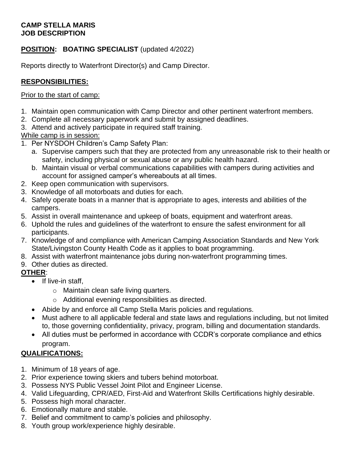#### **CAMP STELLA MARIS JOB DESCRIPTION**

## **POSITION: BOATING SPECIALIST** (updated 4/2022)

Reports directly to Waterfront Director(s) and Camp Director.

## **RESPONSIBILITIES:**

#### Prior to the start of camp:

- 1. Maintain open communication with Camp Director and other pertinent waterfront members.
- 2. Complete all necessary paperwork and submit by assigned deadlines.
- 3. Attend and actively participate in required staff training.

#### While camp is in session:

- 1. Per NYSDOH Children's Camp Safety Plan:
	- a. Supervise campers such that they are protected from any unreasonable risk to their health or safety, including physical or sexual abuse or any public health hazard.
	- b. Maintain visual or verbal communications capabilities with campers during activities and account for assigned camper's whereabouts at all times.
- 2. Keep open communication with supervisors.
- 3. Knowledge of all motorboats and duties for each.
- 4. Safely operate boats in a manner that is appropriate to ages, interests and abilities of the campers.
- 5. Assist in overall maintenance and upkeep of boats, equipment and waterfront areas.
- 6. Uphold the rules and guidelines of the waterfront to ensure the safest environment for all participants.
- 7. Knowledge of and compliance with American Camping Association Standards and New York State/Livingston County Health Code as it applies to boat programming.
- 8. Assist with waterfront maintenance jobs during non-waterfront programming times.
- 9. Other duties as directed.

#### **OTHER**:

- If live-in staff,
	- o Maintain clean safe living quarters.
	- o Additional evening responsibilities as directed.
- Abide by and enforce all Camp Stella Maris policies and regulations.
- Must adhere to all applicable federal and state laws and regulations including, but not limited to, those governing confidentiality, privacy, program, billing and documentation standards.
- All duties must be performed in accordance with CCDR's corporate compliance and ethics program.

# **QUALIFICATIONS:**

- 1. Minimum of 18 years of age.
- 2. Prior experience towing skiers and tubers behind motorboat.
- 3. Possess NYS Public Vessel Joint Pilot and Engineer License.
- 4. Valid Lifeguarding, CPR/AED, First-Aid and Waterfront Skills Certifications highly desirable.
- 5. Possess high moral character.
- 6. Emotionally mature and stable.
- 7. Belief and commitment to camp's policies and philosophy.
- 8. Youth group work/experience highly desirable.